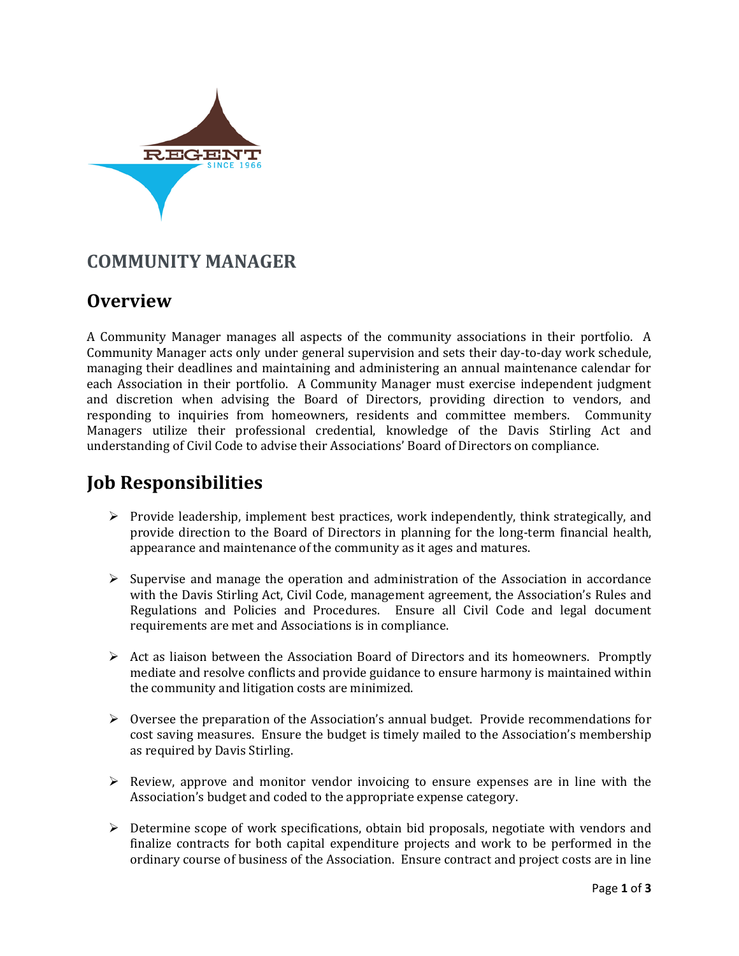

#### **COMMUNITY MANAGER**

## **Overview**

A Community Manager manages all aspects of the community associations in their portfolio. A Community Manager acts only under general supervision and sets their day-to-day work schedule, managing their deadlines and maintaining and administering an annual maintenance calendar for each Association in their portfolio. A Community Manager must exercise independent judgment and discretion when advising the Board of Directors, providing direction to vendors, and responding to inquiries from homeowners, residents and committee members. Community Managers utilize their professional credential, knowledge of the Davis Stirling Act and understanding of Civil Code to advise their Associations' Board of Directors on compliance.

# **Job Responsibilities**

- $\triangleright$  Provide leadership, implement best practices, work independently, think strategically, and provide direction to the Board of Directors in planning for the long-term financial health, appearance and maintenance of the community as it ages and matures.
- $\triangleright$  Supervise and manage the operation and administration of the Association in accordance with the Davis Stirling Act, Civil Code, management agreement, the Association's Rules and Regulations and Policies and Procedures. Ensure all Civil Code and legal document requirements are met and Associations is in compliance.
- $\triangleright$  Act as liaison between the Association Board of Directors and its homeowners. Promptly mediate and resolve conflicts and provide guidance to ensure harmony is maintained within the community and litigation costs are minimized.
- $\triangleright$  Oversee the preparation of the Association's annual budget. Provide recommendations for cost saving measures. Ensure the budget is timely mailed to the Association's membership as required by Davis Stirling.
- $\triangleright$  Review, approve and monitor vendor invoicing to ensure expenses are in line with the Association's budget and coded to the appropriate expense category.
- $\triangleright$  Determine scope of work specifications, obtain bid proposals, negotiate with vendors and finalize contracts for both capital expenditure projects and work to be performed in the ordinary course of business of the Association. Ensure contract and project costs are in line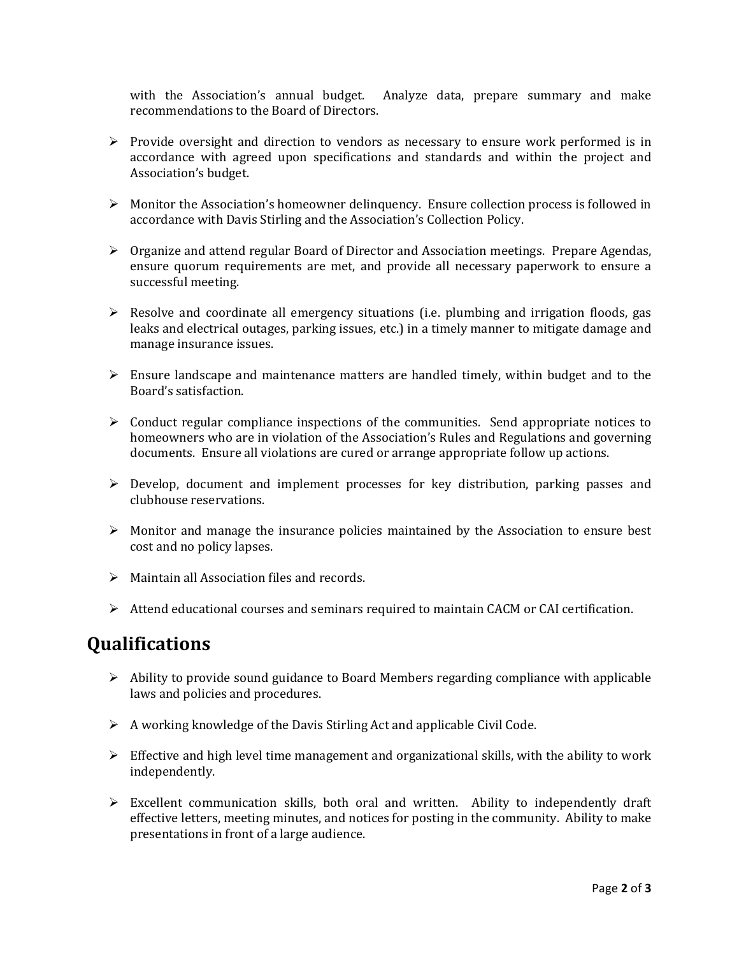with the Association's annual budget. Analyze data, prepare summary and make recommendations to the Board of Directors.

- $\triangleright$  Provide oversight and direction to vendors as necessary to ensure work performed is in accordance with agreed upon specifications and standards and within the project and Association's budget.
- $\triangleright$  Monitor the Association's homeowner delinguency. Ensure collection process is followed in accordance with Davis Stirling and the Association's Collection Policy.
- $\triangleright$  Organize and attend regular Board of Director and Association meetings. Prepare Agendas, ensure quorum requirements are met, and provide all necessary paperwork to ensure a successful meeting.
- $\triangleright$  Resolve and coordinate all emergency situations (i.e. plumbing and irrigation floods, gas leaks and electrical outages, parking issues, etc.) in a timely manner to mitigate damage and manage insurance issues.
- $\triangleright$  Ensure landscape and maintenance matters are handled timely, within budget and to the Board's satisfaction.
- $\triangleright$  Conduct regular compliance inspections of the communities. Send appropriate notices to homeowners who are in violation of the Association's Rules and Regulations and governing documents. Ensure all violations are cured or arrange appropriate follow up actions.
- $\triangleright$  Develop, document and implement processes for key distribution, parking passes and clubhouse reservations.
- $\triangleright$  Monitor and manage the insurance policies maintained by the Association to ensure best cost and no policy lapses.
- $\triangleright$  Maintain all Association files and records.
- $\triangleright$  Attend educational courses and seminars required to maintain CACM or CAI certification.

#### **Qualifications**

- $\triangleright$  Ability to provide sound guidance to Board Members regarding compliance with applicable laws and policies and procedures.
- $\triangleright$  A working knowledge of the Davis Stirling Act and applicable Civil Code.
- $\triangleright$  Effective and high level time management and organizational skills, with the ability to work independently.
- $\triangleright$  Excellent communication skills, both oral and written. Ability to independently draft effective letters, meeting minutes, and notices for posting in the community. Ability to make presentations in front of a large audience.